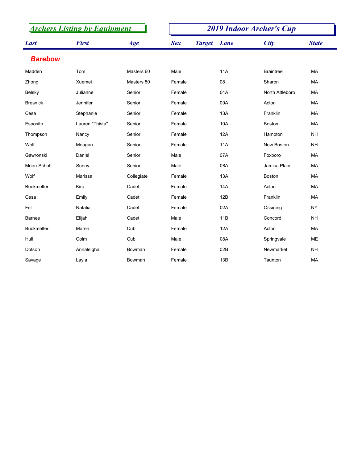| <b>Archers Listing by Equipment</b> |                 |            | <b>2019 Indoor Archer's Cup</b> |             |                  |              |  |  |
|-------------------------------------|-----------------|------------|---------------------------------|-------------|------------------|--------------|--|--|
| <b>Last</b>                         | <b>First</b>    | Age        | <b>Sex</b><br><b>Target</b>     | <b>Lane</b> | <b>City</b>      | <b>State</b> |  |  |
| <b>Barebow</b>                      |                 |            |                                 |             |                  |              |  |  |
| Madden                              | Tom             | Masters 60 | Male                            | <b>11A</b>  | <b>Braintree</b> | <b>MA</b>    |  |  |
| Zhong                               | Xuemei          | Masters 50 | Female                          | 08          | Sharon           | <b>MA</b>    |  |  |
| <b>Belsky</b>                       | Julianne        | Senior     | Female                          | 04A         | North Attleboro  | <b>MA</b>    |  |  |
| <b>Bresnick</b>                     | Jennifer        | Senior     | Female                          | 09A         | Acton            | <b>MA</b>    |  |  |
| Cesa                                | Stephanie       | Senior     | Female                          | 13A         | Franklin         | MA           |  |  |
| Esposito                            | Lauren "Thista" | Senior     | Female                          | 10A         | <b>Boston</b>    | <b>MA</b>    |  |  |
| Thompson                            | Nancy           | Senior     | Female                          | 12A         | Hampton          | <b>NH</b>    |  |  |
| Wolf                                | Meagan          | Senior     | Female                          | <b>11A</b>  | New Boston       | <b>NH</b>    |  |  |
| Gawronski                           | Daniel          | Senior     | Male                            | 07A         | Foxboro          | <b>MA</b>    |  |  |
| Moon-Schott                         | Sunny           | Senior     | Male                            | 08A         | Jamica Plain     | <b>MA</b>    |  |  |
| Wolf                                | Marissa         | Collegiate | Female                          | 13A         | Boston           | <b>MA</b>    |  |  |
| <b>Buckmelter</b>                   | Kira            | Cadet      | Female                          | 14A         | Acton            | MA           |  |  |
| Cesa                                | Emily           | Cadet      | Female                          | 12B         | Franklin         | MA           |  |  |
| Fel                                 | Natalia         | Cadet      | Female                          | 02A         | Ossining         | <b>NY</b>    |  |  |
| <b>Barnes</b>                       | Elijah          | Cadet      | Male                            | 11B         | Concord          | <b>NH</b>    |  |  |
| <b>Buckmelter</b>                   | Maren           | Cub        | Female                          | 12A         | Acton            | <b>MA</b>    |  |  |
| Hull                                | Colm            | Cub        | Male                            | 08A         | Springvale       | <b>ME</b>    |  |  |
| Dotson                              | Annaleigha      | Bowman     | Female                          | 02B         | Newmarket        | <b>NH</b>    |  |  |
| Savage                              | Layla           | Bowman     | Female                          | 13B         | Taunton          | MA           |  |  |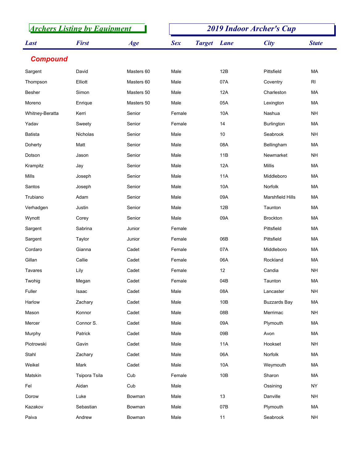|                 | <b>Archers Listing by Equipment</b> |            |            |               |             | <b>2019 Indoor Archer's Cup</b> |                 |
|-----------------|-------------------------------------|------------|------------|---------------|-------------|---------------------------------|-----------------|
| <b>Last</b>     | <b>First</b>                        | Age        | <b>Sex</b> | <b>Target</b> | <b>Lane</b> | <b>City</b>                     | <b>State</b>    |
| <b>Compound</b> |                                     |            |            |               |             |                                 |                 |
| Sargent         | David                               | Masters 60 | Male       |               | 12B         | Pittsfield                      | MA              |
| Thompson        | Elliott                             | Masters 60 | Male       |               | 07A         | Coventry                        | RI              |
| Besher          | Simon                               | Masters 50 | Male       |               | 12A         | Charleston                      | MA              |
| Moreno          | Enrique                             | Masters 50 | Male       |               | 05A         | Lexington                       | MA              |
| Whitney-Beratta | Kerri                               | Senior     | Female     |               | 10A         | Nashua                          | <b>NH</b>       |
| Yadav           | Sweety                              | Senior     | Female     |               | 14          | <b>Burlington</b>               | МA              |
| Batista         | <b>Nicholas</b>                     | Senior     | Male       |               | 10          | Seabrook                        | <b>NH</b>       |
| Doherty         | Matt                                | Senior     | Male       |               | 08A         | Bellingham                      | МA              |
| Dotson          | Jason                               | Senior     | Male       |               | 11B         | Newmarket                       | <b>NH</b>       |
| Krampitz        | Jay                                 | Senior     | Male       |               | 12A         | Millis                          | MA              |
| Mills           | Joseph                              | Senior     | Male       |               | <b>11A</b>  | Middleboro                      | MA              |
| Santos          | Joseph                              | Senior     | Male       |               | 10A         | Norfolk                         | MA              |
| Trubiano        | Adam                                | Senior     | Male       |               | 09A         | <b>Marshfield Hills</b>         | MA              |
| Verhadgen       | Justin                              | Senior     | Male       |               | 12B         | Taunton                         | MA              |
| Wynott          | Corey                               | Senior     | Male       |               | 09A         | <b>Brockton</b>                 | MA              |
| Sargent         | Sabrina                             | Junior     | Female     |               |             | Pittsfield                      | MA              |
| Sargent         | Taylor                              | Junior     | Female     |               | 06B         | Pittsfield                      | MA              |
| Cordaro         | Gianna                              | Cadet      | Female     |               | 07A         | Middleboro                      | MA              |
| Gillan          | Callie                              | Cadet      | Female     |               | 06A         | Rockland                        | MA              |
| Tavares         | Lily                                | Cadet      | Female     |               | 12          | Candia                          | <b>NH</b>       |
| Twohig          | Megan                               | Cadet      | Female     |               | 04B         | Taunton                         | MA              |
| Fuller          | Isaac                               | Cadet      | Male       |               | 08A         | Lancaster                       | <b>NH</b>       |
| Harlow          | Zachary                             | Cadet      | Male       |               | 10B         | <b>Buzzards Bay</b>             | MA              |
| Mason           | Konnor                              | Cadet      | Male       |               | 08B         | Merrimac                        | <b>NH</b>       |
| Mercer          | Connor S.                           | Cadet      | Male       |               | 09A         | Plymouth                        | MA              |
| Murphy          | Patrick                             | Cadet      | Male       |               | 09B         | Avon                            | MA              |
| Piotrowski      | Gavin                               | Cadet      | Male       |               | 11A         | Hookset                         | <b>NH</b>       |
| Stahl           | Zachary                             | Cadet      | Male       |               | 06A         | Norfolk                         | MA              |
| Weikel          | Mark                                | Cadet      | Male       |               | 10A         | Weymouth                        | MA              |
| Matskin         | Tsipora Tsila                       | Cub        | Female     |               | 10B         | Sharon                          | MA              |
| Fel             | Aidan                               | Cub        | Male       |               |             | Ossining                        | <b>NY</b>       |
| Dorow           | Luke                                | Bowman     | Male       |               | 13          | Danville                        | <b>NH</b>       |
| Kazakov         | Sebastian                           | Bowman     | Male       |               | 07B         | Plymouth                        | MA              |
| Paiva           | Andrew                              | Bowman     | Male       |               | 11          | Seabrook                        | $\mathsf{NH}\,$ |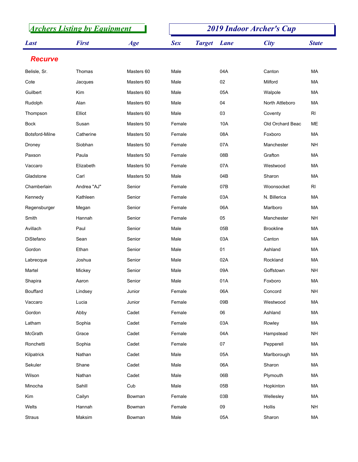| <b>Archers Listing by Equipment</b> |              |            | <b>2019 Indoor Archer's Cup</b> |               |      |                  |                |
|-------------------------------------|--------------|------------|---------------------------------|---------------|------|------------------|----------------|
| <b>Last</b>                         | <b>First</b> | Age        | <b>Sex</b>                      | <b>Target</b> | Lane | <b>City</b>      | <b>State</b>   |
| <b>Recurve</b>                      |              |            |                                 |               |      |                  |                |
| Belisle, Sr.                        | Thomas       | Masters 60 | Male                            |               | 04A  | Canton           | MA             |
| Cote                                | Jacques      | Masters 60 | Male                            |               | 02   | Milford          | МA             |
| Guilbert                            | Kim          | Masters 60 | Male                            |               | 05A  | Walpole          | MA             |
| Rudolph                             | Alan         | Masters 60 | Male                            |               | 04   | North Attleboro  | МA             |
| Thompson                            | Elliot       | Masters 60 | Male                            |               | 03   | Coventy          | RI             |
| <b>Bock</b>                         | Susan        | Masters 50 | Female                          |               | 10A  | Old Orchard Beac | ME             |
| Botsford-Milne                      | Catherine    | Masters 50 | Female                          |               | 08A  | Foxboro          | MA             |
| Droney                              | Siobhan      | Masters 50 | Female                          |               | 07A  | Manchester       | <b>NH</b>      |
| Paxson                              | Paula        | Masters 50 | Female                          |               | 08B  | Grafton          | MA             |
| Vaccaro                             | Elizabeth    | Masters 50 | Female                          |               | 07A  | Westwood         | МA             |
| Gladstone                           | Carl         | Masters 50 | Male                            |               | 04B  | Sharon           | MA             |
| Chamberlain                         | Andrea "AJ"  | Senior     | Female                          |               | 07B  | Woonsocket       | R <sub>l</sub> |
| Kennedy                             | Kathleen     | Senior     | Female                          |               | 03A  | N. Billerica     | <b>MA</b>      |
| Regensburger                        | Megan        | Senior     | Female                          |               | 06A  | Marlboro         | MA             |
| Smith                               | Hannah       | Senior     | Female                          |               | 05   | Manchester       | <b>NH</b>      |
| Avillach                            | Paul         | Senior     | Male                            |               | 05B  | <b>Brookline</b> | MA             |
| DiStefano                           | Sean         | Senior     | Male                            |               | 03A  | Canton           | MA             |
| Gordon                              | Ethan        | Senior     | Male                            |               | 01   | Ashland          | МA             |
| Labrecque                           | Joshua       | Senior     | Male                            |               | 02A  | Rockland         | <b>MA</b>      |
| Martel                              | Mickey       | Senior     | Male                            |               | 09A  | Goffstown        | <b>NH</b>      |
| Shapira                             | Aaron        | Senior     | Male                            |               | 01A  | Foxboro          | MA             |
| <b>Bouffard</b>                     | Lindsey      | Junior     | Female                          |               | 06A  | Concord          | <b>NH</b>      |
| Vaccaro                             | Lucia        | Junior     | Female                          |               | 09B  | Westwood         | MA             |
| Gordon                              | Abby         | Cadet      | Female                          |               | 06   | Ashland          | MA             |
| Latham                              | Sophia       | Cadet      | Female                          |               | 03A  | Rowley           | МA             |
| McGrath                             | Grace        | Cadet      | Female                          |               | 04A  | Hampstead        | <b>NH</b>      |
| Ronchetti                           | Sophia       | Cadet      | Female                          |               | 07   | Pepperell        | MA             |
| Kilpatrick                          | Nathan       | Cadet      | Male                            |               | 05A  | Marlborough      | MA             |
| Sekuler                             | Shane        | Cadet      | Male                            |               | 06A  | Sharon           | МA             |
| Wilson                              | Nathan       | Cadet      | Male                            |               | 06B  | Plymouth         | MA             |
| Minocha                             | Sahill       | Cub        | Male                            |               | 05B  | Hopkinton        | МA             |
| Kim                                 | Cailyn       | Bowman     | Female                          |               | 03B  | Wellesley        | MA             |
| Welts                               | Hannah       | Bowman     | Female                          |               | 09   | Hollis           | <b>NH</b>      |
| Straus                              | Maksim       | Bowman     | Male                            |               | 05A  | Sharon           | MA             |